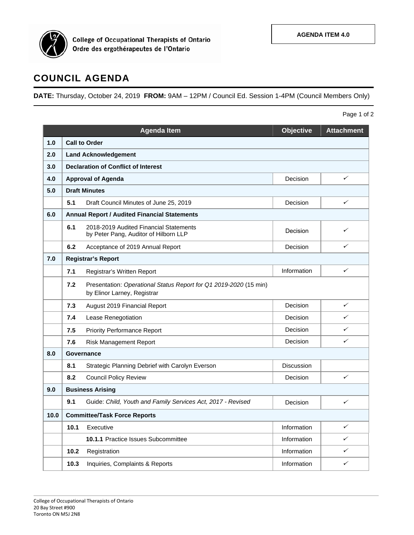

College of Occupational Therapists of Ontario<br>Ordre des ergothérapeutes de l'Ontario

## **COUNCIL AGENDA**

**DATE:** Thursday, October 24, 2019 **FROM:** 9AM – 12PM / Council Ed. Session 1-4PM (Council Members Only)

| Page 1 of 2 |  |  |
|-------------|--|--|
|             |  |  |

|      |                                                                                                         | <b>Agenda Item</b>                                                              | <b>Objective</b>  | <b>Attachment</b> |  |  |  |
|------|---------------------------------------------------------------------------------------------------------|---------------------------------------------------------------------------------|-------------------|-------------------|--|--|--|
| 1.0  | <b>Call to Order</b>                                                                                    |                                                                                 |                   |                   |  |  |  |
| 2.0  | <b>Land Acknowledgement</b>                                                                             |                                                                                 |                   |                   |  |  |  |
| 3.0  |                                                                                                         | <b>Declaration of Conflict of Interest</b>                                      |                   |                   |  |  |  |
| 4.0  |                                                                                                         | <b>Approval of Agenda</b>                                                       | Decision          | ✓                 |  |  |  |
| 5.0  | <b>Draft Minutes</b>                                                                                    |                                                                                 |                   |                   |  |  |  |
|      | 5.1                                                                                                     | Draft Council Minutes of June 25, 2019                                          | Decision          | ✓                 |  |  |  |
| 6.0  |                                                                                                         | <b>Annual Report / Audited Financial Statements</b>                             |                   |                   |  |  |  |
|      | 6.1                                                                                                     | 2018-2019 Audited Financial Statements<br>by Peter Pang, Auditor of Hilborn LLP | Decision          | ✓                 |  |  |  |
|      | 6.2                                                                                                     | Acceptance of 2019 Annual Report                                                | Decision          | ✓                 |  |  |  |
| 7.0  |                                                                                                         | <b>Registrar's Report</b>                                                       |                   |                   |  |  |  |
|      | 7.1                                                                                                     | Registrar's Written Report                                                      | Information       | ✓                 |  |  |  |
|      | 7.2<br>Presentation: Operational Status Report for Q1 2019-2020 (15 min)<br>by Elinor Larney, Registrar |                                                                                 |                   |                   |  |  |  |
|      | 7.3                                                                                                     | August 2019 Financial Report                                                    | Decision          | ✓                 |  |  |  |
|      | 7.4                                                                                                     | Lease Renegotiation                                                             | Decision          | ✓                 |  |  |  |
|      | 7.5                                                                                                     | <b>Priority Performance Report</b>                                              | Decision          | ✓                 |  |  |  |
|      | 7.6                                                                                                     | <b>Risk Management Report</b>                                                   | Decision          | ✓                 |  |  |  |
| 8.0  | Governance                                                                                              |                                                                                 |                   |                   |  |  |  |
|      | 8.1                                                                                                     | Strategic Planning Debrief with Carolyn Everson                                 | <b>Discussion</b> |                   |  |  |  |
|      | 8.2                                                                                                     | <b>Council Policy Review</b>                                                    | Decision          | ✓                 |  |  |  |
| 9.0  |                                                                                                         | <b>Business Arising</b>                                                         |                   |                   |  |  |  |
|      | 9.1                                                                                                     | Guide: Child, Youth and Family Services Act, 2017 - Revised                     | Decision          | ✓                 |  |  |  |
| 10.0 | <b>Committee/Task Force Reports</b>                                                                     |                                                                                 |                   |                   |  |  |  |
|      | 10.1                                                                                                    | Executive                                                                       | Information       | ✓                 |  |  |  |
|      |                                                                                                         |                                                                                 |                   |                   |  |  |  |
|      |                                                                                                         | 10.1.1 Practice Issues Subcommittee                                             | Information       | ✓                 |  |  |  |
|      | 10.2                                                                                                    | Registration                                                                    | Information       | ✓                 |  |  |  |